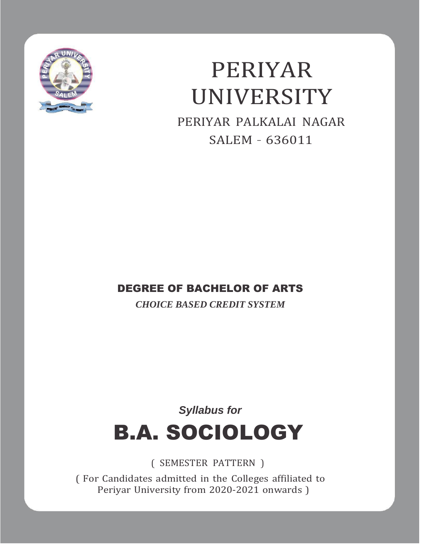

# PERIYAR UNIVERSITY

PERIYAR PALKALAI NAGAR SALEM – 636011

## DEGREE OF BACHELOR OF ARTS

*CHOICE BASED CREDIT SYSTEM*

## *Syllabus for* B.A. SOCIOLOGY

( SEMESTER PATTERN )

( For Candidates admitted in the Colleges affiliated to Periyar University from 2020-2021 onwards )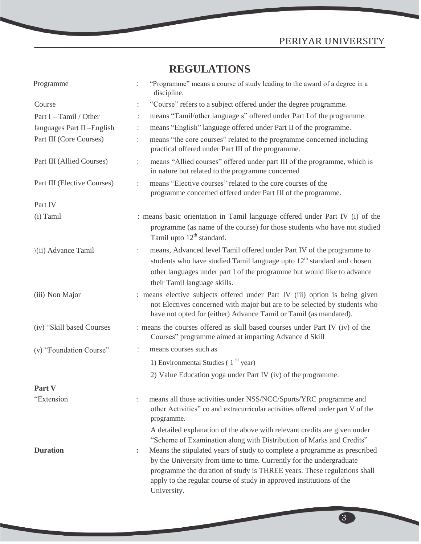## **REGULATIONS**

| Programme                   | "Programme" means a course of study leading to the award of a degree in a<br>discipline.                                                                                                                                                                                                                                                    |
|-----------------------------|---------------------------------------------------------------------------------------------------------------------------------------------------------------------------------------------------------------------------------------------------------------------------------------------------------------------------------------------|
| Course                      | "Course" refers to a subject offered under the degree programme.<br>÷                                                                                                                                                                                                                                                                       |
| Part I – Tamil / Other      | means "Tamil/other language s" offered under Part I of the programme.                                                                                                                                                                                                                                                                       |
| languages Part II-English   | means "English" language offered under Part II of the programme.<br>÷                                                                                                                                                                                                                                                                       |
| Part III (Core Courses)     | means "the core courses" related to the programme concerned including<br>practical offered under Part III of the programme.                                                                                                                                                                                                                 |
| Part III (Allied Courses)   | means "Allied courses" offered under part III of the programme, which is<br>÷<br>in nature but related to the programme concerned                                                                                                                                                                                                           |
| Part III (Elective Courses) | means "Elective courses" related to the core courses of the<br>÷<br>programme concerned offered under Part III of the programme.                                                                                                                                                                                                            |
| Part IV                     |                                                                                                                                                                                                                                                                                                                                             |
| (i) Tamil                   | : means basic orientation in Tamil language offered under Part IV (i) of the<br>programme (as name of the course) for those students who have not studied<br>Tamil upto $12th$ standard.                                                                                                                                                    |
| \(ii) Advance Tamil         | means, Advanced level Tamil offered under Part IV of the programme to<br>÷<br>students who have studied Tamil language upto 12 <sup>th</sup> standard and chosen<br>other languages under part I of the programme but would like to advance<br>their Tamil language skills.                                                                 |
| (iii) Non Major             | : means elective subjects offered under Part IV (iii) option is being given<br>not Electives concerned with major but are to be selected by students who<br>have not opted for (either) Advance Tamil or Tamil (as mandated).                                                                                                               |
| (iv) "Skill based Courses   | : means the courses offered as skill based courses under Part IV (iv) of the<br>Courses" programme aimed at imparting Advance d Skill                                                                                                                                                                                                       |
| (v) "Foundation Course"     | means courses such as<br>÷                                                                                                                                                                                                                                                                                                                  |
|                             | 1) Environmental Studies $(1st$ year)                                                                                                                                                                                                                                                                                                       |
|                             | 2) Value Education yoga under Part IV (iv) of the programme.                                                                                                                                                                                                                                                                                |
| Part V                      |                                                                                                                                                                                                                                                                                                                                             |
| "Extension                  | means all those activities under NSS/NCC/Sports/YRC programme and<br>other Activities" co and extracurricular activities offered under part V of the<br>programme.                                                                                                                                                                          |
|                             | A detailed explanation of the above with relevant credits are given under<br>"Scheme of Examination along with Distribution of Marks and Credits"                                                                                                                                                                                           |
| <b>Duration</b>             | Means the stipulated years of study to complete a programme as prescribed<br>$\ddot{\phantom{a}}$<br>by the University from time to time. Currently for the undergraduate<br>programme the duration of study is THREE years. These regulations shall<br>apply to the regular course of study in approved institutions of the<br>University. |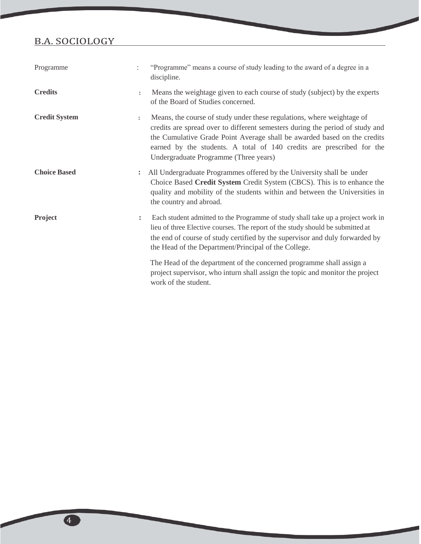| Programme            |                      | "Programme" means a course of study leading to the award of a degree in a<br>discipline.                                                                                                                                                                                                                                                              |
|----------------------|----------------------|-------------------------------------------------------------------------------------------------------------------------------------------------------------------------------------------------------------------------------------------------------------------------------------------------------------------------------------------------------|
| <b>Credits</b>       | $\ddot{\phantom{a}}$ | Means the weightage given to each course of study (subject) by the experts<br>of the Board of Studies concerned.                                                                                                                                                                                                                                      |
| <b>Credit System</b> | $\ddot{\cdot}$       | Means, the course of study under these regulations, where weightage of<br>credits are spread over to different semesters during the period of study and<br>the Cumulative Grade Point Average shall be awarded based on the credits<br>earned by the students. A total of 140 credits are prescribed for the<br>Undergraduate Programme (Three years) |
| <b>Choice Based</b>  | $\ddot{\cdot}$       | All Undergraduate Programmes offered by the University shall be under<br>Choice Based Credit System Credit System (CBCS). This is to enhance the<br>quality and mobility of the students within and between the Universities in<br>the country and abroad.                                                                                            |
| <b>Project</b>       | $\ddot{\phantom{a}}$ | Each student admitted to the Programme of study shall take up a project work in<br>lieu of three Elective courses. The report of the study should be submitted at<br>the end of course of study certified by the supervisor and duly forwarded by<br>the Head of the Department/Principal of the College.                                             |
|                      |                      | The Head of the department of the concerned programme shall assign a<br>project supervisor, who inturn shall assign the topic and monitor the project<br>work of the student.                                                                                                                                                                         |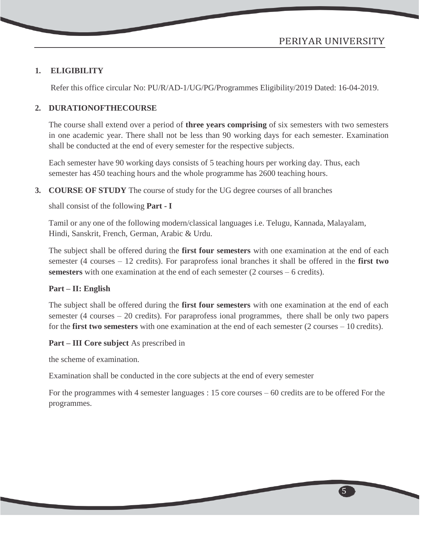5

#### **1. ELIGIBILITY**

Refer this office circular No: PU/R/AD-1/UG/PG/Programmes Eligibility/2019 Dated: 16-04-2019.

#### **2. DURATIONOFTHECOURSE**

The course shall extend over a period of **three years comprising** of six semesters with two semesters in one academic year. There shall not be less than 90 working days for each semester. Examination shall be conducted at the end of every semester for the respective subjects.

Each semester have 90 working days consists of 5 teaching hours per working day. Thus, each semester has 450 teaching hours and the whole programme has 2600 teaching hours.

**3. COURSE OF STUDY** The course of study for the UG degree courses of all branches

shall consist of the following **Part - I**

Tamil or any one of the following modern/classical languages i.e. Telugu, Kannada, Malayalam, Hindi, Sanskrit, French, German, Arabic & Urdu.

The subject shall be offered during the **first four semesters** with one examination at the end of each semester (4 courses – 12 credits). For paraprofess ional branches it shall be offered in the **first two semesters** with one examination at the end of each semester (2 courses – 6 credits).

#### **Part – II: English**

The subject shall be offered during the **first four semesters** with one examination at the end of each semester (4 courses – 20 credits). For paraprofess ional programmes, there shall be only two papers for the **first two semesters** with one examination at the end of each semester (2 courses – 10 credits).

#### **Part – III Core subject** As prescribed in

the scheme of examination.

Examination shall be conducted in the core subjects at the end of every semester

For the programmes with 4 semester languages : 15 core courses – 60 credits are to be offered For the programmes.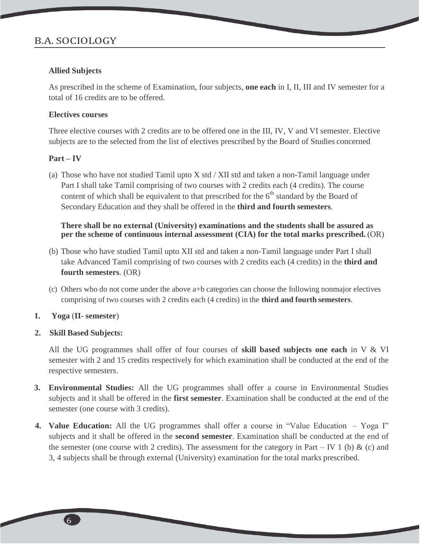#### **Allied Subjects**

As prescribed in the scheme of Examination, four subjects, **one each** in I, II, III and IV semester for a total of 16 credits are to be offered.

#### **Electives courses**

Three elective courses with 2 credits are to be offered one in the III, IV, V and VI semester. Elective subjects are to the selected from the list of electives prescribed by the Board of Studies concerned

#### **Part – IV**

(a) Those who have not studied Tamil upto  $X$  std  $/$  XII std and taken a non-Tamil language under Part I shall take Tamil comprising of two courses with 2 credits each (4 credits). The course content of which shall be equivalent to that prescribed for the  $6<sup>th</sup>$  standard by the Board of Secondary Education and they shall be offered in the **third and fourth semesters**.

#### **There shall be no external (University) examinations and the students shall be assured as per the scheme of continuous internal assessment (CIA) for the total marks prescribed.** (OR)

- (b) Those who have studied Tamil upto XII std and taken a non-Tamil language under Part I shall take Advanced Tamil comprising of two courses with 2 credits each (4 credits) in the **third and fourth semesters**. (OR)
- (c) Others who do not come under the above a+b categories can choose the following nonmajor electives comprising of two courses with 2 credits each (4 credits) in the **third and fourth semesters**.

#### **1. Yoga** (**II- semester**)

#### **2. Skill Based Subjects:**

All the UG programmes shall offer of four courses of **skill based subjects one each** in V & VI semester with 2 and 15 credits respectively for which examination shall be conducted at the end of the respective semesters.

- **3. Environmental Studies:** All the UG programmes shall offer a course in Environmental Studies subjects and it shall be offered in the **first semester**. Examination shall be conducted at the end of the semester (one course with 3 credits).
- **4. Value Education:** All the UG programmes shall offer a course in "Value Education Yoga I" subjects and it shall be offered in the **second semester**. Examination shall be conducted at the end of the semester (one course with 2 credits). The assessment for the category in Part – IV 1 (b)  $\&$  (c) and 3, 4 subjects shall be through external (University) examination for the total marks prescribed.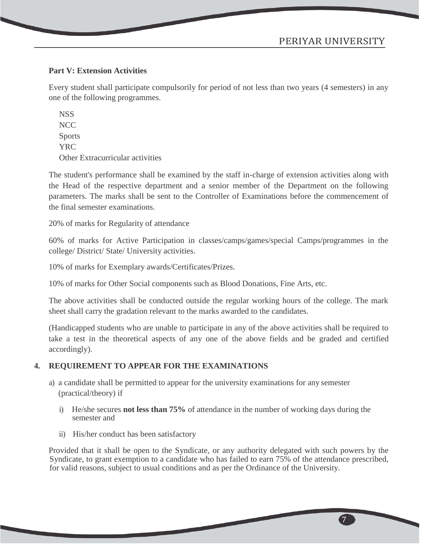#### **Part V: Extension Activities**

Every student shall participate compulsorily for period of not less than two years (4 semesters) in any one of the following programmes.

**NSS** NCC Sports YRC Other Extracurricular activities

The student's performance shall be examined by the staff in-charge of extension activities along with the Head of the respective department and a senior member of the Department on the following parameters. The marks shall be sent to the Controller of Examinations before the commencement of the final semester examinations.

20% of marks for Regularity of attendance

60% of marks for Active Participation in classes/camps/games/special Camps/programmes in the college/ District/ State/ University activities.

10% of marks for Exemplary awards/Certificates/Prizes.

10% of marks for Other Social components such as Blood Donations, Fine Arts, etc.

The above activities shall be conducted outside the regular working hours of the college. The mark sheet shall carry the gradation relevant to the marks awarded to the candidates.

(Handicapped students who are unable to participate in any of the above activities shall be required to take a test in the theoretical aspects of any one of the above fields and be graded and certified accordingly).

#### **4. REQUIREMENT TO APPEAR FOR THE EXAMINATIONS**

- a) a candidate shall be permitted to appear for the university examinations for any semester (practical/theory) if
	- i) He/she secures **not less than 75%** of attendance in the number of working days during the semester and
	- ii) His/her conduct has been satisfactory

Provided that it shall be open to the Syndicate, or any authority delegated with such powers by the Syndicate, to grant exemption to a candidate who has failed to earn 75% of the attendance prescribed, for valid reasons, subject to usual conditions and as per the Ordinance of the University.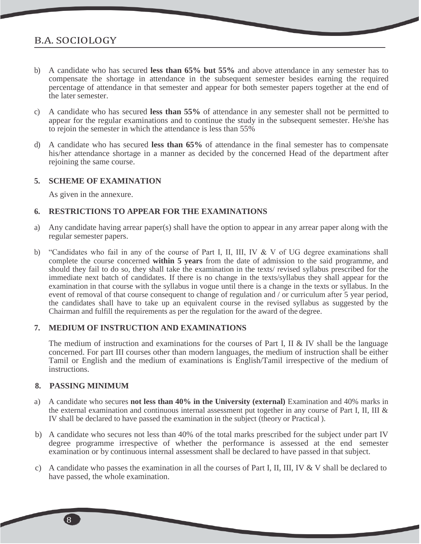- b) A candidate who has secured **less than 65% but 55%** and above attendance in any semester has to compensate the shortage in attendance in the subsequent semester besides earning the required percentage of attendance in that semester and appear for both semester papers together at the end of the later semester.
- c) A candidate who has secured **less than 55%** of attendance in any semester shall not be permitted to appear for the regular examinations and to continue the study in the subsequent semester. He/she has to rejoin the semester in which the attendance is less than 55%
- d) A candidate who has secured **less than 65%** of attendance in the final semester has to compensate his/her attendance shortage in a manner as decided by the concerned Head of the department after rejoining the same course.

#### **5. SCHEME OF EXAMINATION**

As given in the annexure.

#### **6. RESTRICTIONS TO APPEAR FOR THE EXAMINATIONS**

- a) Any candidate having arrear paper(s) shall have the option to appear in any arrear paper along with the regular semester papers.
- b) "Candidates who fail in any of the course of Part I, II, III, IV & V of UG degree examinations shall complete the course concerned **within 5 years** from the date of admission to the said programme, and should they fail to do so, they shall take the examination in the texts/ revised syllabus prescribed for the immediate next batch of candidates. If there is no change in the texts/syllabus they shall appear for the examination in that course with the syllabus in vogue until there is a change in the texts or syllabus. In the event of removal of that course consequent to change of regulation and / or curriculum after 5 year period, the candidates shall have to take up an equivalent course in the revised syllabus as suggested by the Chairman and fulfill the requirements as per the regulation for the award of the degree.

#### **7. MEDIUM OF INSTRUCTION AND EXAMINATIONS**

The medium of instruction and examinations for the courses of Part I, II & IV shall be the language concerned. For part III courses other than modern languages, the medium of instruction shall be either Tamil or English and the medium of examinations is English/Tamil irrespective of the medium of instructions.

#### **8. PASSING MINIMUM**

- a) A candidate who secures **not less than 40% in the University (external)** Examination and 40% marks in the external examination and continuous internal assessment put together in any course of Part I, II, III & IV shall be declared to have passed the examination in the subject (theory or Practical ).
- b) A candidate who secures not less than 40% of the total marks prescribed for the subject under part IV degree programme irrespective of whether the performance is assessed at the end semester examination or by continuous internal assessment shall be declared to have passed in that subject.
- c) A candidate who passes the examination in all the courses of Part I, II, III, IV & V shall be declared to have passed, the whole examination.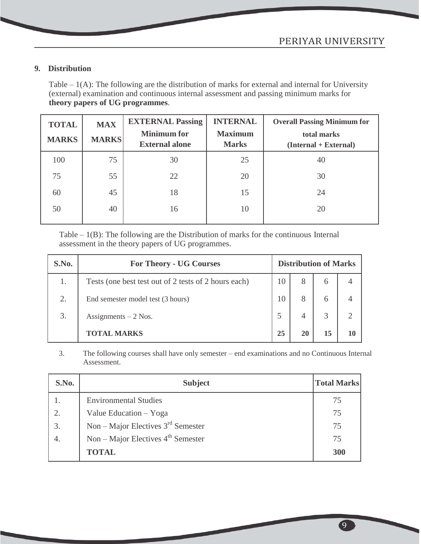9

#### **9. Distribution**

Table  $-1(A)$ : The following are the distribution of marks for external and internal for University (external) examination and continuous internal assessment and passing minimum marks for **theory papers of UG programmes**.

| <b>TOTAL</b><br><b>MARKS</b> | <b>MAX</b><br><b>MARKS</b> | <b>EXTERNAL Passing</b><br><b>Minimum</b> for<br><b>External alone</b> | <b>INTERNAL</b><br><b>Maximum</b><br><b>Marks</b> | <b>Overall Passing Minimum for</b><br>total marks<br>$(Internal + External)$ |
|------------------------------|----------------------------|------------------------------------------------------------------------|---------------------------------------------------|------------------------------------------------------------------------------|
| 100                          | 75                         | 30                                                                     | 25                                                | 40                                                                           |
| 75                           | 55                         | 22                                                                     | 20                                                | 30                                                                           |
| 60                           | 45                         | 18                                                                     | 15                                                | 24                                                                           |
| 50                           | 40                         | 16                                                                     | 10                                                | 20                                                                           |

Table – 1(B): The following are the Distribution of marks for the continuous Internal assessment in the theory papers of UG programmes.

| S.No. | <b>For Theory - UG Courses</b>                       | <b>Distribution of Marks</b> |   |    |                |  |
|-------|------------------------------------------------------|------------------------------|---|----|----------------|--|
| 1.    | Tests (one best test out of 2 tests of 2 hours each) | 10                           | 8 | 6  |                |  |
| 2.    | End semester model test (3 hours)                    | 10                           |   | 6  |                |  |
| 3.    | Assignments $-2$ Nos.                                |                              |   | 3  | $\overline{2}$ |  |
|       | <b>TOTAL MARKS</b>                                   |                              |   | 15 | 10             |  |

3. The following courses shall have only semester – end examinations and no Continuous Internal Assessment.

| S.No. | <b>Subject</b>                       | <b>Total Marks</b> |
|-------|--------------------------------------|--------------------|
|       | <b>Environmental Studies</b>         | 75                 |
| 2.    | Value Education - Yoga               | 75                 |
| 3.    | Non – Major Electives $3rd$ Semester | 75                 |
| 4.    | Non – Major Electives $4th$ Semester | 75                 |
|       | <b>TOTAL</b>                         | 300                |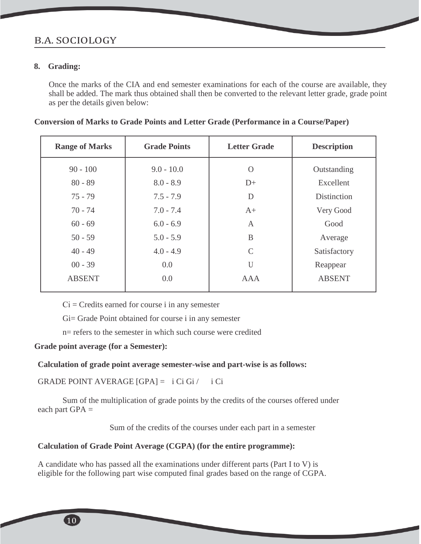#### **8. Grading:**

Once the marks of the CIA and end semester examinations for each of the course are available, they shall be added. The mark thus obtained shall then be converted to the relevant letter grade, grade point as per the details given below:

| <b>Range of Marks</b> | <b>Grade Points</b> | <b>Letter Grade</b> | <b>Description</b> |
|-----------------------|---------------------|---------------------|--------------------|
| $90 - 100$            | $9.0 - 10.0$        | $\Omega$            | Outstanding        |
| $80 - 89$             | $8.0 - 8.9$         | $D+$                | Excellent          |
| $75 - 79$             | $7.5 - 7.9$         | D                   | <b>Distinction</b> |
| $70 - 74$             | $7.0 - 7.4$         | $A+$                | Very Good          |
| $60 - 69$             | $6.0 - 6.9$         | A                   | Good               |
| $50 - 59$             | $5.0 - 5.9$         | B                   | Average            |
| $40 - 49$             | $4.0 - 4.9$         | $\mathcal{C}$       | Satisfactory       |
| $00 - 39$             | 0.0                 | $\mathbf{I}$        | Reappear           |
| <b>ABSENT</b>         | 0.0                 | <b>AAA</b>          | <b>ABSENT</b>      |
|                       |                     |                     |                    |

 $Ci = C$  redits earned for course i in any semester

Gi= Grade Point obtained for course i in any semester

n= refers to the semester in which such course were credited

#### **Grade point average (for a Semester):**

#### **Calculation of grade point average semester-wise and part-wise is as follows:**

GRADE POINT AVERAGE  $[GPA] = i Ci Gi / i Ci$ 

Sum of the multiplication of grade points by the credits of the courses offered under each part  $GPA =$ 

Sum of the credits of the courses under each part in a semester

#### **Calculation of Grade Point Average (CGPA) (for the entire programme):**

A candidate who has passed all the examinations under different parts (Part I to V) is eligible for the following part wise computed final grades based on the range of CGPA.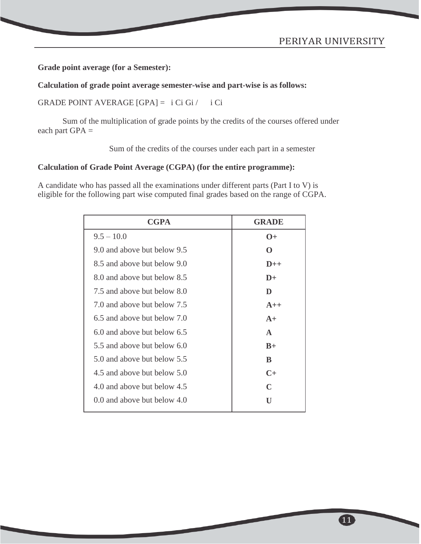**Grade point average (for a Semester):**

**Calculation of grade point average semester-wise and part-wise is as follows:**

GRADE POINT AVERAGE  $[GPA] = i Ci Gi / i Ci$ 

Sum of the multiplication of grade points by the credits of the courses offered under each part  $GPA =$ 

Sum of the credits of the courses under each part in a semester

#### **Calculation of Grade Point Average (CGPA) (for the entire programme):**

A candidate who has passed all the examinations under different parts (Part I to V) is eligible for the following part wise computed final grades based on the range of CGPA.

| <b>CGPA</b>                 | <b>GRADE</b>  |
|-----------------------------|---------------|
| $9.5 - 10.0$                | $\Omega +$    |
| 9.0 and above but below 9.5 | ∩             |
| 8.5 and above but below 9.0 | $D++$         |
| 8.0 and above but below 8.5 | $\mathbf{D}+$ |
| 7.5 and above but below 8.0 | D             |
| 7.0 and above but below 7.5 | $A++$         |
| 6.5 and above but below 7.0 | $A+$          |
| 6.0 and above but below 6.5 | $\mathbf{A}$  |
| 5.5 and above but below 6.0 | $B+$          |
| 5.0 and above but below 5.5 | B             |
| 4.5 and above but below 5.0 | $C+$          |
| 4.0 and above but below 4.5 | C             |
| 0.0 and above but below 4.0 | U             |
|                             |               |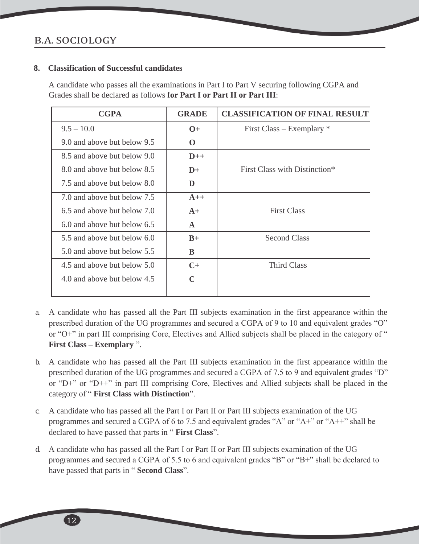#### **8. Classification of Successful candidates**

A candidate who passes all the examinations in Part I to Part V securing following CGPA and Grades shall be declared as follows **for Part I or Part II or Part III**:

| <b>CGPA</b>                 | <b>GRADE</b>  | <b>CLASSIFICATION OF FINAL RESULT</b> |
|-----------------------------|---------------|---------------------------------------|
| $9.5 - 10.0$                | $0+$          | First Class – Exemplary $*$           |
| 9.0 and above but below 9.5 | $\mathbf 0$   |                                       |
| 8.5 and above but below 9.0 | $D++$         |                                       |
| 8.0 and above but below 8.5 | $\mathbf{D}+$ | First Class with Distinction*         |
| 7.5 and above but below 8.0 | D             |                                       |
| 7.0 and above but below 7.5 | $A++$         |                                       |
| 6.5 and above but below 7.0 | $A+$          | <b>First Class</b>                    |
| 6.0 and above but below 6.5 | $\mathbf{A}$  |                                       |
| 5.5 and above but below 6.0 | $B+$          | <b>Second Class</b>                   |
| 5.0 and above but below 5.5 | B             |                                       |
| 4.5 and above but below 5.0 | $C+$          | <b>Third Class</b>                    |
| 4.0 and above but below 4.5 | $\mathbf C$   |                                       |

- a. A candidate who has passed all the Part III subjects examination in the first appearance within the prescribed duration of the UG programmes and secured a CGPA of 9 to 10 and equivalent grades "O" or "O+" in part III comprising Core, Electives and Allied subjects shall be placed in the category of " **First Class – Exemplary** ".
- b. A candidate who has passed all the Part III subjects examination in the first appearance within the prescribed duration of the UG programmes and secured a CGPA of 7.5 to 9 and equivalent grades "D" or "D+" or "D++" in part III comprising Core, Electives and Allied subjects shall be placed in the category of " **First Class with Distinction**".
- c. A candidate who has passed all the Part I or Part II or Part III subjects examination of the UG programmes and secured a CGPA of 6 to 7.5 and equivalent grades "A" or "A+" or "A++" shall be declared to have passed that parts in " **First Class**".
- d. A candidate who has passed all the Part I or Part II or Part III subjects examination of the UG programmes and secured a CGPA of 5.5 to 6 and equivalent grades "B" or "B+" shall be declared to have passed that parts in " **Second Class**".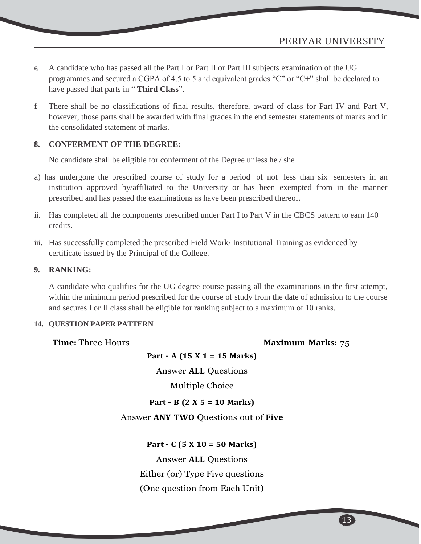- e. A candidate who has passed all the Part I or Part II or Part III subjects examination of the UG programmes and secured a CGPA of 4.5 to 5 and equivalent grades "C" or "C+" shall be declared to have passed that parts in " **Third Class**".
- f. There shall be no classifications of final results, therefore, award of class for Part IV and Part V, however, those parts shall be awarded with final grades in the end semester statements of marks and in the consolidated statement of marks.

#### **8. CONFERMENT OF THE DEGREE:**

No candidate shall be eligible for conferment of the Degree unless he / she

- a) has undergone the prescribed course of study for a period of not less than six semesters in an institution approved by/affiliated to the University or has been exempted from in the manner prescribed and has passed the examinations as have been prescribed thereof.
- ii. Has completed all the components prescribed under Part I to Part V in the CBCS pattern to earn 140 credits.
- iii. Has successfully completed the prescribed Field Work/ Institutional Training as evidenced by certificate issued by the Principal of the College.

#### **9. RANKING:**

A candidate who qualifies for the UG degree course passing all the examinations in the first attempt, within the minimum period prescribed for the course of study from the date of admission to the course and secures I or II class shall be eligible for ranking subject to a maximum of 10 ranks.

#### **14. QUESTION PAPER PATTERN**

#### **Time:** Three Hours **Maximum** Marks: 75

**Part – A (15 X 1 = 15 Marks)**

Answer **ALL** Questions

Multiple Choice

#### **Part – B (2 X 5 = 10 Marks)**

#### Answer **ANY TWO** Questions out of **Five**

**Part – C (5 X 10 = 50 Marks)**

Answer **ALL** Questions

Either (or) Type Five questions

(One question from Each Unit)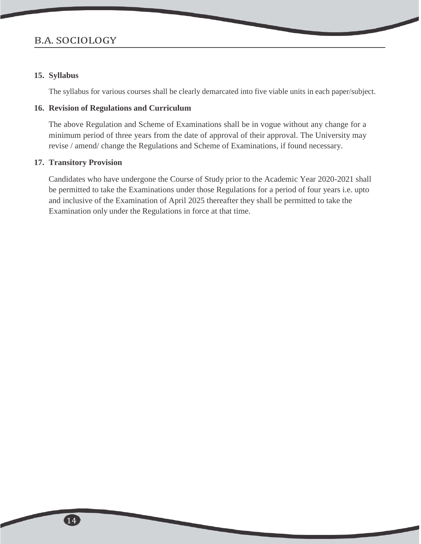#### **15. Syllabus**

The syllabus for various courses shall be clearly demarcated into five viable units in each paper/subject.

#### **16. Revision of Regulations and Curriculum**

The above Regulation and Scheme of Examinations shall be in vogue without any change for a minimum period of three years from the date of approval of their approval. The University may revise / amend/ change the Regulations and Scheme of Examinations, if found necessary.

#### **17. Transitory Provision**

Candidates who have undergone the Course of Study prior to the Academic Year 2020-2021 shall be permitted to take the Examinations under those Regulations for a period of four years i.e. upto and inclusive of the Examination of April 2025 thereafter they shall be permitted to take the Examination only under the Regulations in force at that time.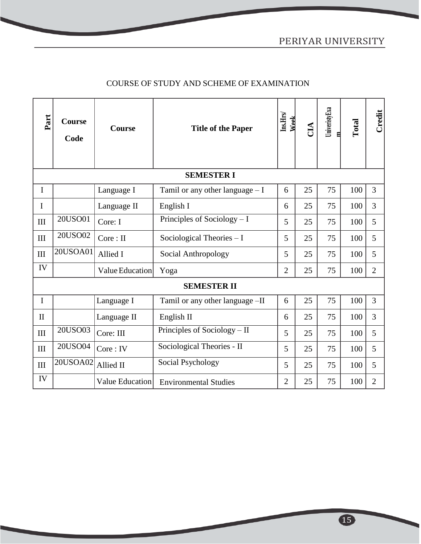### COURSE OF STUDY AND SCHEME OF EXAMINATION

| Part         | <b>Course</b><br>Code | Course          | <b>Title of the Paper</b>         | $\mathbf{Ins}\mathbf{Hrs}$<br>Wek | ČЦ | UniveristyExa | Total | Credit         |
|--------------|-----------------------|-----------------|-----------------------------------|-----------------------------------|----|---------------|-------|----------------|
|              |                       |                 | <b>SEMESTER I</b>                 |                                   |    |               |       |                |
| I            |                       | Language I      | Tamil or any other language $- I$ | 6                                 | 25 | 75            | 100   | 3              |
| $\mathbf I$  |                       | Language II     | English I                         | 6                                 | 25 | 75            | 100   | 3              |
| III          | 20USO01               | Core: I         | Principles of Sociology $-1$      | 5                                 | 25 | 75            | 100   | 5              |
| III          | 20USO02               | Core: II        | Sociological Theories - I         | 5                                 | 25 | 75            | 100   | 5              |
| III          | 20USOA01              | Allied I        | Social Anthropology               | 5                                 | 25 | 75            | 100   | 5              |
| IV           |                       | Value Education | Yoga                              | $\overline{2}$                    | 25 | 75            | 100   | $\overline{2}$ |
|              |                       |                 | <b>SEMESTER II</b>                |                                   |    |               |       |                |
| $\mathbf I$  |                       | Language I      | Tamil or any other language -II   | 6                                 | 25 | 75            | 100   | 3              |
| $\mathbf{I}$ |                       | Language II     | English II                        | 6                                 | 25 | 75            | 100   | 3              |
| III          | 20USO03               | Core: III       | Principles of Sociology - II      | 5                                 | 25 | 75            | 100   | 5              |
| III          | 20USO04               | Core: IV        | Sociological Theories - II        | 5                                 | 25 | 75            | 100   | 5              |
| III          | 20USOA02              | Allied II       | Social Psychology                 | 5                                 | 25 | 75            | 100   | 5              |
| IV           |                       | Value Education | <b>Environmental Studies</b>      | $\overline{2}$                    | 25 | 75            | 100   | $\overline{2}$ |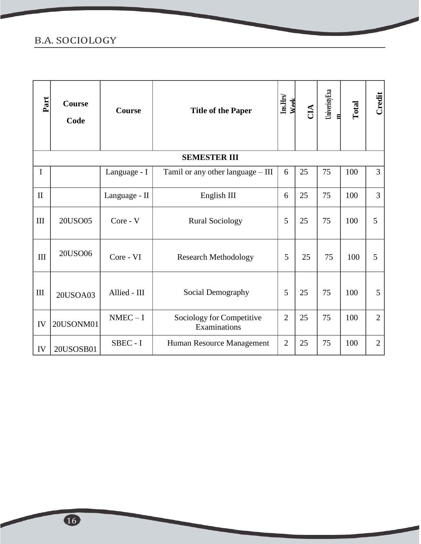| Part         | <b>Course</b><br>Code | <b>Course</b> | <b>Title of the Paper</b>                 | Ins.Hrs/<br><b>Week</b> | CIA | UniveristyExa<br>ᄫ | Total | Credit         |
|--------------|-----------------------|---------------|-------------------------------------------|-------------------------|-----|--------------------|-------|----------------|
|              |                       |               | <b>SEMESTER III</b>                       |                         |     |                    |       |                |
| $\mathbf I$  |                       | Language - I  | Tamil or any other language - III         | 6                       | 25  | 75                 | 100   | 3              |
| $\mathbf{I}$ |                       | Language - II | English III                               | 6                       | 25  | 75                 | 100   | 3              |
| III          | 20USO05               | Core - V      | <b>Rural Sociology</b>                    | 5                       | 25  | 75                 | 100   | 5              |
| $\rm III$    | 20USO06               | Core - VI     | <b>Research Methodology</b>               | 5                       | 25  | 75                 | 100   | 5              |
| III          | 20USOA03              | Allied - III  | Social Demography                         | 5                       | 25  | 75                 | 100   | 5              |
| IV           | 20USONM01             | $NMEC - I$    | Sociology for Competitive<br>Examinations | $\overline{2}$          | 25  | 75                 | 100   | $\overline{2}$ |
| IV           | 20USOSB01             | SBEC - I      | Human Resource Management                 | $\overline{2}$          | 25  | 75                 | 100   | $\overline{2}$ |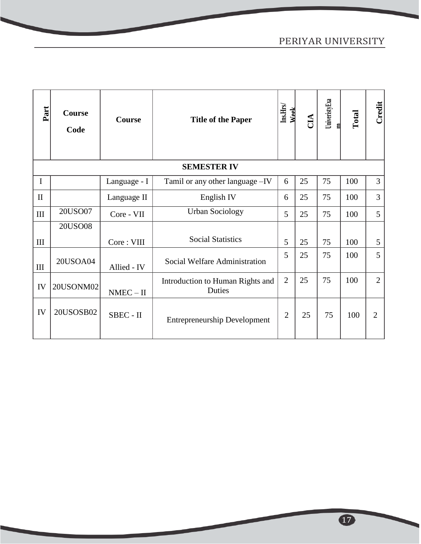## PERIYAR UNIVERSITY

| Part         | <b>Course</b><br>Code | <b>Course</b> | <b>Title of the Paper</b>                  | Ins.Hrs/<br><b>Week</b> | CIA | UniveristyExa<br>目 | Total | Credit         |
|--------------|-----------------------|---------------|--------------------------------------------|-------------------------|-----|--------------------|-------|----------------|
|              |                       |               | <b>SEMESTER IV</b>                         |                         |     |                    |       |                |
| I            |                       | Language - I  | Tamil or any other language -IV            | 6                       | 25  | 75                 | 100   | 3              |
| $\mathbf{I}$ |                       | Language II   | English IV                                 | 6                       | 25  | 75                 | 100   | 3              |
| III          | 20USO07               | Core - VII    | <b>Urban Sociology</b>                     | 5                       | 25  | 75                 | 100   | 5              |
|              | <b>20USO08</b>        |               |                                            |                         |     |                    |       |                |
| $\rm III$    |                       | Core: VIII    | <b>Social Statistics</b>                   | 5                       | 25  | 75                 | 100   | 5              |
| III          | 20USOA04              | Allied - IV   | Social Welfare Administration              | 5                       | 25  | 75                 | 100   | 5              |
| ${\rm IV}$   | 20USONM02             | $NMEC - II$   | Introduction to Human Rights and<br>Duties | $\overline{2}$          | 25  | 75                 | 100   | $\overline{2}$ |
| IV           | 20USOSB02             | SBEC - II     | <b>Entrepreneurship Development</b>        | $\overline{2}$          | 25  | 75                 | 100   | $\overline{2}$ |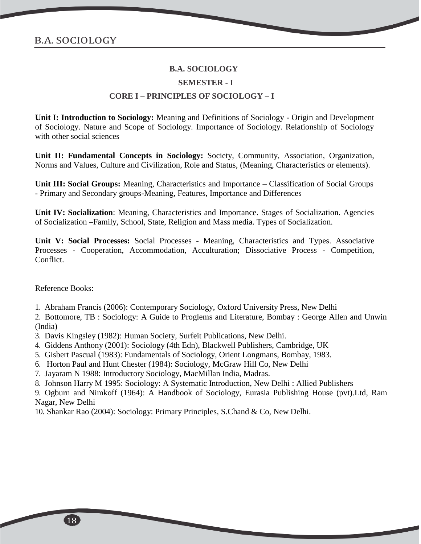#### **SEMESTER - I**

#### **CORE I – PRINCIPLES OF SOCIOLOGY – I**

**Unit I: Introduction to Sociology:** Meaning and Definitions of Sociology - Origin and Development of Sociology. Nature and Scope of Sociology. Importance of Sociology. Relationship of Sociology with other social sciences

**Unit II: Fundamental Concepts in Sociology:** Society, Community, Association, Organization, Norms and Values, Culture and Civilization, Role and Status, (Meaning, Characteristics or elements).

**Unit III: Social Groups:** Meaning, Characteristics and Importance – Classification of Social Groups - Primary and Secondary groups-Meaning, Features, Importance and Differences

**Unit IV: Socialization**: Meaning, Characteristics and Importance. Stages of Socialization. Agencies of Socialization –Family, School, State, Religion and Mass media. Types of Socialization.

**Unit V: Social Processes:** Social Processes - Meaning, Characteristics and Types. Associative Processes - Cooperation, Accommodation, Acculturation; Dissociative Process - Competition, Conflict.

Reference Books:

1. Abraham Francis (2006): Contemporary Sociology, Oxford University Press, New Delhi

2. Bottomore, TB : Sociology: A Guide to Proglems and Literature, Bombay : George Allen and Unwin (India)

- 3. Davis Kingsley (1982): Human Society, Surfeit Publications, New Delhi.
- 4. Giddens Anthony (2001): Sociology (4th Edn), Blackwell Publishers, Cambridge, UK
- 5. Gisbert Pascual (1983): Fundamentals of Sociology, Orient Longmans, Bombay, 1983.
- 6. Horton Paul and Hunt Chester (1984): Sociology, McGraw Hill Co, New Delhi
- 7. Jayaram N 1988: Introductory Sociology, MacMillan India, Madras.
- 8. Johnson Harry M 1995: Sociology: A Systematic Introduction, New Delhi : Allied Publishers

9. Ogburn and Nimkoff (1964): A Handbook of Sociology, Eurasia Publishing House (pvt).Ltd, Ram Nagar, New Delhi

10. Shankar Rao (2004): Sociology: Primary Principles, S.Chand & Co, New Delhi.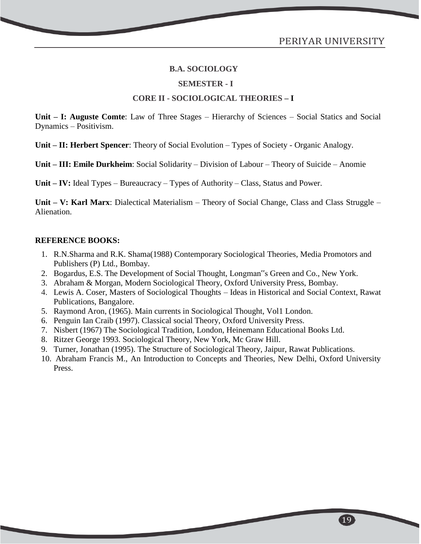#### **SEMESTER - I**

#### **CORE II - SOCIOLOGICAL THEORIES – I**

**Unit – I: Auguste Comte**: Law of Three Stages – Hierarchy of Sciences – Social Statics and Social Dynamics – Positivism.

**Unit – II: Herbert Spencer**: Theory of Social Evolution – Types of Society - Organic Analogy.

**Unit – III: Emile Durkheim**: Social Solidarity – Division of Labour – Theory of Suicide – Anomie

**Unit – IV:** Ideal Types – Bureaucracy – Types of Authority – Class, Status and Power.

**Unit – V: Karl Marx**: Dialectical Materialism – Theory of Social Change, Class and Class Struggle – Alienation.

#### **REFERENCE BOOKS:**

- 1. R.N.Sharma and R.K. Shama(1988) Contemporary Sociological Theories, Media Promotors and Publishers (P) Ltd., Bombay.
- 2. Bogardus, E.S. The Development of Social Thought, Longman"s Green and Co., New York.
- 3. Abraham & Morgan, Modern Sociological Theory, Oxford University Press, Bombay.
- 4. Lewis A. Coser, Masters of Sociological Thoughts Ideas in Historical and Social Context, Rawat Publications, Bangalore.
- 5. Raymond Aron, (1965). Main currents in Sociological Thought, Vol1 London.
- 6. Penguin Ian Craib (1997). Classical social Theory, Oxford University Press.
- 7. Nisbert (1967) The Sociological Tradition, London, Heinemann Educational Books Ltd.
- 8. Ritzer George 1993. Sociological Theory, New York, Mc Graw Hill.
- 9. Turner, Jonathan (1995). The Structure of Sociological Theory, Jaipur, Rawat Publications.
- 10. Abraham Francis M., An Introduction to Concepts and Theories, New Delhi, Oxford University Press.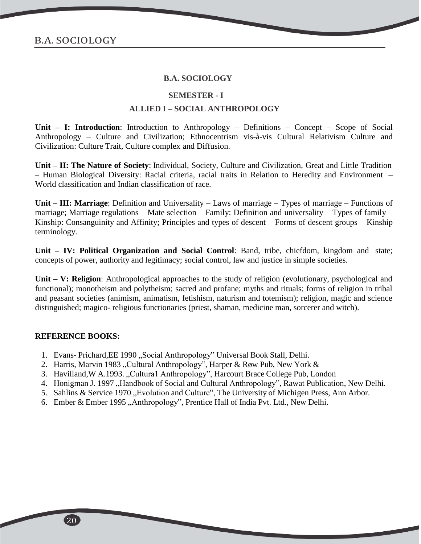#### **SEMESTER - I**

#### **ALLIED I – SOCIAL ANTHROPOLOGY**

**Unit – I: Introduction**: Introduction to Anthropology – Definitions – Concept – Scope of Social Anthropology – Culture and Civilization; Ethnocentrism vis-à-vis Cultural Relativism Culture and Civilization: Culture Trait, Culture complex and Diffusion.

**Unit – II: The Nature of Society**: Individual, Society, Culture and Civilization, Great and Little Tradition – Human Biological Diversity: Racial criteria, racial traits in Relation to Heredity and Environment – World classification and Indian classification of race.

**Unit – III: Marriage**: Definition and Universality – Laws of marriage – Types of marriage – Functions of marriage; Marriage regulations – Mate selection – Family: Definition and universality – Types of family – Kinship: Consanguinity and Affinity; Principles and types of descent – Forms of descent groups – Kinship terminology.

**Unit – IV: Political Organization and Social Control**: Band, tribe, chiefdom, kingdom and state; concepts of power, authority and legitimacy; social control, law and justice in simple societies.

**Unit – V: Religion**: Anthropological approaches to the study of religion (evolutionary, psychological and functional); monotheism and polytheism; sacred and profane; myths and rituals; forms of religion in tribal and peasant societies (animism, animatism, fetishism, naturism and totemism); religion, magic and science distinguished; magico- religious functionaries (priest, shaman, medicine man, sorcerer and witch).

- 1. Evans- Prichard, EE 1990, Social Anthropology" Universal Book Stall, Delhi.
- 2. Harris, Marvin 1983 "Cultural Anthropology", Harper & Røw Pub, New York &
- 3. Havilland, W A.1993., Cultura1 Anthropology", Harcourt Brace College Pub, London
- 4. Honigman J. 1997, Handbook of Social and Cultural Anthropology", Rawat Publication, New Delhi.
- 5. Sahlins & Service 1970, Evolution and Culture", The University of Michigen Press, Ann Arbor.
- 6. Ember & Ember 1995 "Anthropology", Prentice Hall of India Pvt. Ltd., New Delhi.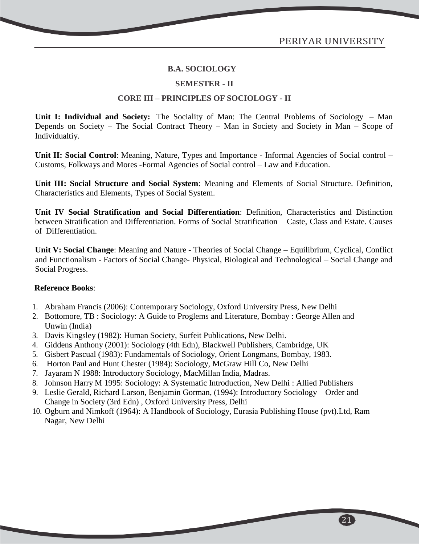21

#### **B.A. SOCIOLOGY**

#### **SEMESTER - II**

#### **CORE III – PRINCIPLES OF SOCIOLOGY - II**

**Unit I: Individual and Society:** The Sociality of Man: The Central Problems of Sociology – Man Depends on Society – The Social Contract Theory – Man in Society and Society in Man – Scope of Individualtiy.

**Unit II: Social Control**: Meaning, Nature, Types and Importance - Informal Agencies of Social control – Customs, Folkways and Mores -Formal Agencies of Social control – Law and Education.

**Unit III: Social Structure and Social System**: Meaning and Elements of Social Structure. Definition, Characteristics and Elements, Types of Social System.

**Unit IV Social Stratification and Social Differentiation**: Definition, Characteristics and Distinction between Stratification and Differentiation. Forms of Social Stratification – Caste, Class and Estate. Causes of Differentiation.

**Unit V: Social Change**: Meaning and Nature - Theories of Social Change – Equilibrium, Cyclical, Conflict and Functionalism - Factors of Social Change- Physical, Biological and Technological – Social Change and Social Progress.

#### **Reference Books**:

- 1. Abraham Francis (2006): Contemporary Sociology, Oxford University Press, New Delhi
- 2. Bottomore, TB : Sociology: A Guide to Proglems and Literature, Bombay : George Allen and Unwin (India)
- 3. Davis Kingsley (1982): Human Society, Surfeit Publications, New Delhi.
- 4. Giddens Anthony (2001): Sociology (4th Edn), Blackwell Publishers, Cambridge, UK
- 5. Gisbert Pascual (1983): Fundamentals of Sociology, Orient Longmans, Bombay, 1983.
- 6. Horton Paul and Hunt Chester (1984): Sociology, McGraw Hill Co, New Delhi
- 7. Jayaram N 1988: Introductory Sociology, MacMillan India, Madras.
- 8. Johnson Harry M 1995: Sociology: A Systematic Introduction, New Delhi : Allied Publishers
- 9. Leslie Gerald, Richard Larson, Benjamin Gorman, (1994): Introductory Sociology Order and Change in Society (3rd Edn) , Oxford University Press, Delhi
- 10. Ogburn and Nimkoff (1964): A Handbook of Sociology, Eurasia Publishing House (pvt).Ltd, Ram Nagar, New Delhi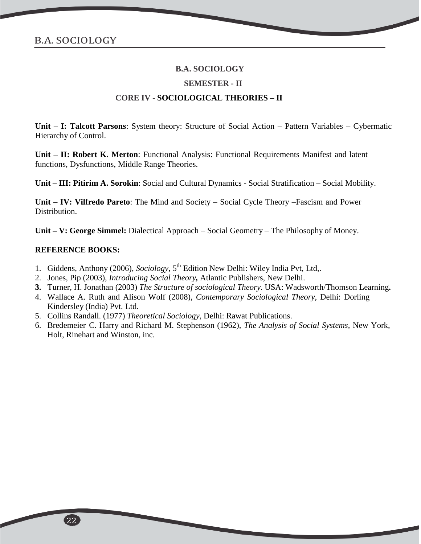#### **SEMESTER - II**

#### **CORE IV - SOCIOLOGICAL THEORIES – II**

**Unit – I: Talcott Parsons**: System theory: Structure of Social Action – Pattern Variables – Cybermatic Hierarchy of Control.

**Unit – II: Robert K. Merton**: Functional Analysis: Functional Requirements Manifest and latent functions, Dysfunctions, Middle Range Theories.

**Unit – III: Pitirim A. Sorokin**: Social and Cultural Dynamics - Social Stratification – Social Mobility.

**Unit – IV: Vilfredo Pareto**: The Mind and Society – Social Cycle Theory –Fascism and Power Distribution.

**Unit – V: George Simmel:** Dialectical Approach – Social Geometry – The Philosophy of Money.

- 1. Giddens, Anthony (2006), *Sociology*, 5<sup>th</sup> Edition New Delhi: Wiley India Pvt, Ltd,.
- 2. Jones, Pip (2003), *Introducing Social Theory,* Atlantic Publishers, New Delhi.
- **3.** Turner, H. Jonathan (2003) *The Structure of sociological Theory*. USA: Wadsworth/Thomson Learning**.**
- 4. Wallace A. Ruth and Alison Wolf (2008), *Contemporary Sociological Theory*, Delhi: Dorling Kindersley (India) Pvt. Ltd.
- 5. Collins Randall. (1977) *Theoretical Sociology*, Delhi: Rawat Publications.
- 6. Bredemeier C. Harry and Richard M. Stephenson (1962), *The Analysis of Social Systems,* New York, Holt, Rinehart and Winston, inc.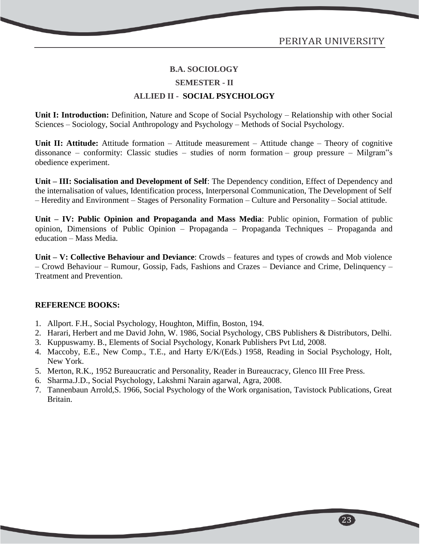#### **SEMESTER - II**

#### **ALLIED II - SOCIAL PSYCHOLOGY**

Unit I: Introduction: Definition, Nature and Scope of Social Psychology – Relationship with other Social Sciences – Sociology, Social Anthropology and Psychology – Methods of Social Psychology.

**Unit II: Attitude:** Attitude formation – Attitude measurement – Attitude change – Theory of cognitive dissonance – conformity: Classic studies – studies of norm formation – group pressure – Milgram"s obedience experiment.

**Unit – III: Socialisation and Development of Self**: The Dependency condition, Effect of Dependency and the internalisation of values, Identification process, Interpersonal Communication, The Development of Self – Heredity and Environment – Stages of Personality Formation – Culture and Personality – Social attitude.

**Unit – IV: Public Opinion and Propaganda and Mass Media**: Public opinion, Formation of public opinion, Dimensions of Public Opinion – Propaganda – Propaganda Techniques – Propaganda and education – Mass Media.

**Unit – V: Collective Behaviour and Deviance**: Crowds – features and types of crowds and Mob violence – Crowd Behaviour – Rumour, Gossip, Fads, Fashions and Crazes – Deviance and Crime, Delinquency – Treatment and Prevention.

#### **REFERENCE BOOKS:**

- 1. Allport. F.H., Social Psychology, Houghton, Miffin, Boston, 194.
- 2. Harari, Herbert and me David John, W. 1986, Social Psychology, CBS Publishers & Distributors, Delhi.
- 3. Kuppuswamy. B., Elements of Social Psychology, Konark Publishers Pvt Ltd, 2008.
- 4. Maccoby, E.E., New Comp., T.E., and Harty E/K/(Eds.) 1958, Reading in Social Psychology, Holt, New York.
- 5. Merton, R.K., 1952 Bureaucratic and Personality, Reader in Bureaucracy, Glenco III Free Press.
- 6. Sharma.J.D., Social Psychology, Lakshmi Narain agarwal, Agra, 2008.
- 7. Tannenbaun Arrold,S. 1966, Social Psychology of the Work organisation, Tavistock Publications, Great Britain.

 $\left[23\right]$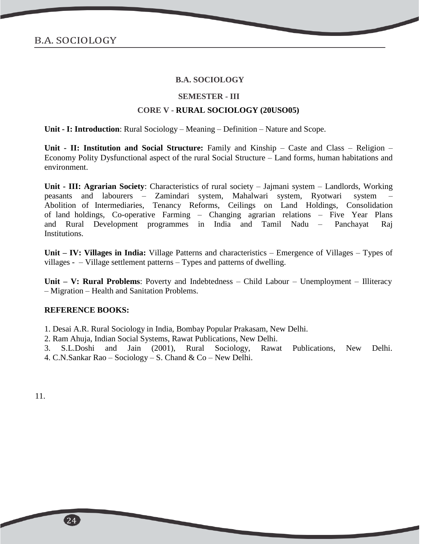#### **SEMESTER - III**

#### **CORE V - RURAL SOCIOLOGY (20USO05)**

**Unit - I: Introduction**: Rural Sociology – Meaning – Definition – Nature and Scope.

**Unit - II: Institution and Social Structure:** Family and Kinship – Caste and Class – Religion – Economy Polity Dysfunctional aspect of the rural Social Structure – Land forms, human habitations and environment.

**Unit - III: Agrarian Society**: Characteristics of rural society – Jajmani system – Landlords, Working peasants and labourers – Zamindari system, Mahalwari system, Ryotwari system – Abolition of Intermediaries, Tenancy Reforms, Ceilings on Land Holdings, Consolidation of land holdings, Co-operative Farming – Changing agrarian relations – Five Year Plans and Rural Development programmes in India and Tamil Nadu – Panchayat Raj Institutions.

**Unit – IV: Villages in India:** Village Patterns and characteristics – Emergence of Villages – Types of villages - – Village settlement patterns – Types and patterns of dwelling.

**Unit – V: Rural Problems**: Poverty and Indebtedness – Child Labour – Unemployment – Illiteracy – Migration – Health and Sanitation Problems.

#### **REFERENCE BOOKS:**

1. Desai A.R. Rural Sociology in India, Bombay Popular Prakasam, New Delhi.

- 2. Ram Ahuja, Indian Social Systems, Rawat Publications, New Delhi.
- 3. S.L.Doshi and Jain (2001), Rural Sociology, Rawat Publications, New Delhi. 4. C.N.Sankar Rao – Sociology – S. Chand & Co – New Delhi.

11.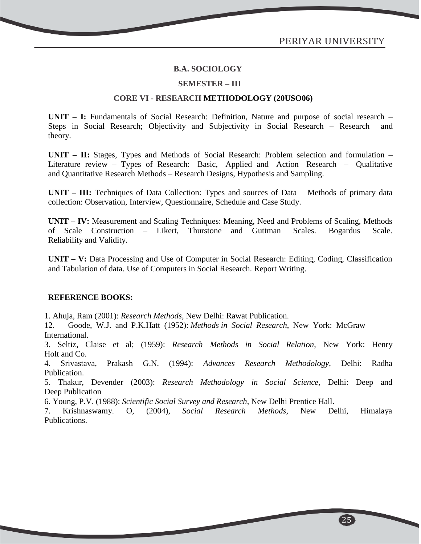$\left[25\right]$ 

#### **B.A. SOCIOLOGY**

#### **SEMESTER – III**

#### **CORE VI - RESEARCH METHODOLOGY (20USO06)**

**UNIT – I:** Fundamentals of Social Research: Definition, Nature and purpose of social research – Steps in Social Research; Objectivity and Subjectivity in Social Research – Research and theory.

**UNIT – II:** Stages, Types and Methods of Social Research: Problem selection and formulation – Literature review – Types of Research: Basic, Applied and Action Research – Qualitative and Quantitative Research Methods – Research Designs, Hypothesis and Sampling.

**UNIT – III:** Techniques of Data Collection: Types and sources of Data – Methods of primary data collection: Observation, Interview, Questionnaire, Schedule and Case Study.

**UNIT – IV:** Measurement and Scaling Techniques: Meaning, Need and Problems of Scaling, Methods of Scale Construction – Likert, Thurstone and Guttman Scales. Bogardus Scale. Reliability and Validity.

**UNIT – V:** Data Processing and Use of Computer in Social Research: Editing, Coding, Classification and Tabulation of data. Use of Computers in Social Research. Report Writing.

#### **REFERENCE BOOKS:**

1. Ahuja, Ram (2001): *Research Methods*, New Delhi: Rawat Publication.

12. Goode, W.J. and P.K.Hatt (1952): *Methods in Social Research*, New York: McGraw International.

3. Seltiz, Claise et al; (1959): *Research Methods in Social Relation*, New York: Henry Holt and Co.

4. Srivastava, Prakash G.N. (1994): *Advances Research Methodology*, Delhi: Radha Publication.

5. Thakur, Devender (2003): *Research Methodology in Social Science*, Delhi: Deep and Deep Publication

6. Young, P.V. (1988): *Scientific Social Survey and Research*, New Delhi Prentice Hall.

7. Krishnaswamy. O, (2004), *Social Research Methods*, New Delhi, Himalaya Publications.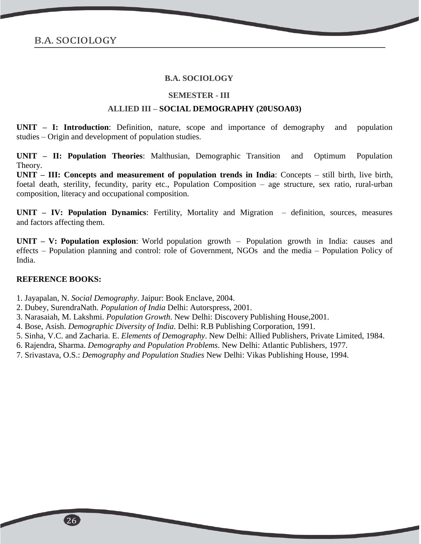#### **SEMESTER - III**

#### **ALLIED III – SOCIAL DEMOGRAPHY (20USOA03)**

**UNIT – I: Introduction**: Definition, nature, scope and importance of demography and population studies – Origin and development of population studies.

**UNIT – II: Population Theories**: Malthusian, Demographic Transition and Optimum Population Theory.

**UNIT – III: Concepts and measurement of population trends in India**: Concepts – still birth, live birth, foetal death, sterility, fecundity, parity etc., Population Composition – age structure, sex ratio, rural-urban composition, literacy and occupational composition.

**UNIT – IV: Population Dynamics**: Fertility, Mortality and Migration – definition, sources, measures and factors affecting them.

**UNIT – V: Population explosion**: World population growth – Population growth in India: causes and effects – Population planning and control: role of Government, NGOs and the media – Population Policy of India.

#### **REFERENCE BOOKS:**

1. Jayapalan, N. *Social Demography*. Jaipur: Book Enclave, 2004.

- 2. Dubey, SurendraNath. *Population of India* Delhi: Autorspress, 2001.
- 3. Narasaiah, M. Lakshmi. *Population Growth*. New Delhi: Discovery Publishing House,2001.
- 4. Bose, Asish. *Demographic Diversity of India*. Delhi: R.B Publishing Corporation, 1991.
- 5. Sinha, V.C. and Zacharia. E. *Elements of Demography*. New Delhi: Allied Publishers, Private Limited, 1984.
- 6. Rajendra, Sharma. *Demography and Population Problems*. New Delhi: Atlantic Publishers, 1977.
- 7. Srivastava, O.S.: *Demography and Population Studies* New Delhi: Vikas Publishing House, 1994.

26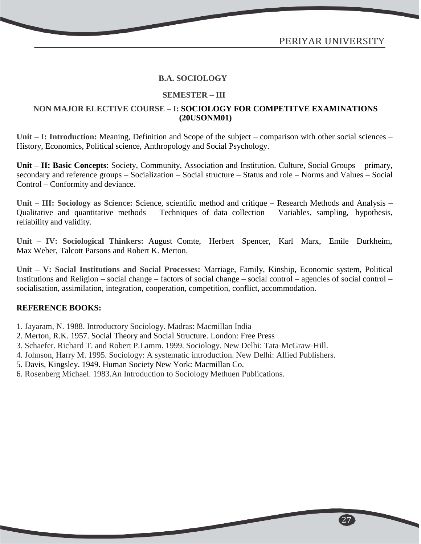$\left[27\right]$ 

#### **B.A. SOCIOLOGY**

#### **SEMESTER – III**

#### **NON MAJOR ELECTIVE COURSE – I: SOCIOLOGY FOR COMPETITVE EXAMINATIONS (20USONM01)**

**Unit – I: Introduction:** Meaning, Definition and Scope of the subject – comparison with other social sciences – History, Economics, Political science, Anthropology and Social Psychology.

**Unit – II: Basic Concepts**: Society, Community, Association and Institution. Culture, Social Groups – primary, secondary and reference groups – Socialization – Social structure – Status and role – Norms and Values – Social Control – Conformity and deviance.

**Unit – III: Sociology as Science:** Science, scientific method and critique – Research Methods and Analysis **–** Qualitative and quantitative methods – Techniques of data collection – Variables, sampling, hypothesis, reliability and validity.

**Unit – IV: Sociological Thinkers:** August Comte, Herbert Spencer, Karl Marx, Emile Durkheim, Max Weber, Talcott Parsons and Robert K. Merton.

**Unit – V: Social Institutions and Social Processes:** Marriage, Family, Kinship, Economic system, Political Institutions and Religion – social change – factors of social change – social control – agencies of social control – socialisation, assimilation, integration, cooperation, competition, conflict, accommodation.

- 1. Jayaram, N. 1988. Introductory Sociology. Madras: Macmillan India
- 2. Merton, R.K. 1957. Social Theory and Social Structure. London: Free Press
- 3. Schaefer. Richard T. and Robert P.Lamm. 1999. Sociology. New Delhi: Tata‐McGraw‐Hill.
- 4. Johnson, Harry M. 1995. Sociology: A systematic introduction. New Delhi: Allied Publishers.
- 5. Davis, Kingsley. 1949. Human Society New York: Macmillan Co.
- 6. Rosenberg Michael. 1983.An Introduction to Sociology Methuen Publications.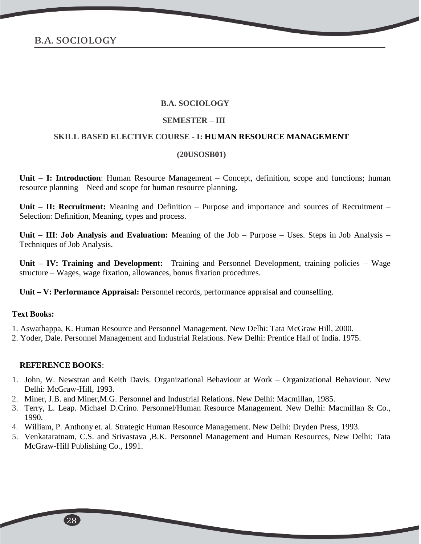#### **SEMESTER – III**

#### **SKILL BASED ELECTIVE COURSE - I: HUMAN RESOURCE MANAGEMENT**

#### **(20USOSB01)**

**Unit – I: Introduction**: Human Resource Management – Concept, definition, scope and functions; human resource planning – Need and scope for human resource planning.

**Unit – II: Recruitment:** Meaning and Definition – Purpose and importance and sources of Recruitment – Selection: Definition, Meaning, types and process.

**Unit – III**: **Job Analysis and Evaluation:** Meaning of the Job – Purpose – Uses. Steps in Job Analysis – Techniques of Job Analysis.

**Unit – IV: Training and Development:** Training and Personnel Development, training policies – Wage structure – Wages, wage fixation, allowances, bonus fixation procedures.

**Unit – V: Performance Appraisal:** Personnel records, performance appraisal and counselling.

#### **Text Books:**

- 1. Aswathappa, K. Human Resource and Personnel Management. New Delhi: Tata McGraw Hill, 2000.
- 2. Yoder, Dale. Personnel Management and Industrial Relations. New Delhi: Prentice Hall of India. 1975.

- 1. John, W. Newstran and Keith Davis. Organizational Behaviour at Work Organizational Behaviour. New Delhi: McGraw-Hill, 1993.
- 2. Miner, J.B. and Miner,M.G. Personnel and Industrial Relations. New Delhi: Macmillan, 1985.
- 3. Terry, L. Leap. Michael D.Crino. Personnel/Human Resource Management. New Delhi: Macmillan & Co., 1990.
- 4. William, P. Anthony et. al. Strategic Human Resource Management. New Delhi: Dryden Press, 1993.
- 5. Venkataratnam, C.S. and Srivastava ,B.K. Personnel Management and Human Resources, New Delhi: Tata McGraw-Hill Publishing Co., 1991.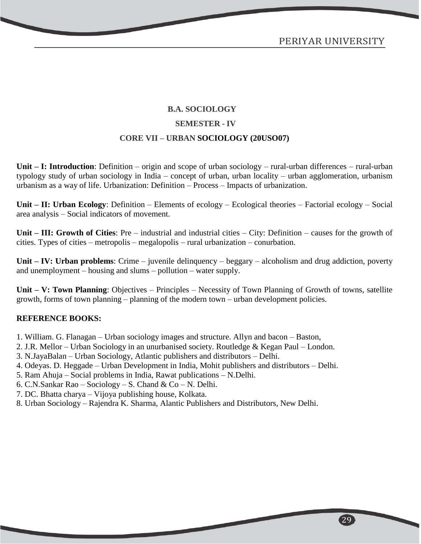## **B.A. SOCIOLOGY SEMESTER - IV CORE VII – URBAN SOCIOLOGY (20USO07)**

**Unit – I: Introduction**: Definition – origin and scope of urban sociology – rural-urban differences – rural-urban typology study of urban sociology in India – concept of urban, urban locality – urban agglomeration, urbanism urbanism as a way of life. Urbanization: Definition – Process – Impacts of urbanization.

**Unit – II: Urban Ecology**: Definition – Elements of ecology – Ecological theories – Factorial ecology – Social area analysis – Social indicators of movement.

**Unit – III: Growth of Cities**: Pre – industrial and industrial cities – City: Definition – causes for the growth of cities. Types of cities – metropolis – megalopolis – rural urbanization – conurbation.

**Unit – IV: Urban problems**: Crime – juvenile delinquency – beggary – alcoholism and drug addiction, poverty and unemployment – housing and slums – pollution – water supply.

**Unit – V: Town Planning**: Objectives – Principles – Necessity of Town Planning of Growth of towns, satellite growth, forms of town planning – planning of the modern town – urban development policies.

- 1. William. G. Flanagan Urban sociology images and structure. Allyn and bacon Baston,
- 2. J.R. Mellor Urban Sociology in an unurbanised society. Routledge & Kegan Paul London.
- 3. N.JayaBalan Urban Sociology, Atlantic publishers and distributors Delhi.
- 4. Odeyas. D. Heggade Urban Development in India, Mohit publishers and distributors Delhi.
- 5. Ram Ahuja Social problems in India, Rawat publications N.Delhi.
- 6. C.N.Sankar Rao Sociology S. Chand & Co N. Delhi.
- 7. DC. Bhatta charya Vijoya publishing house, Kolkata.
- 8. Urban Sociology Rajendra K. Sharma, Alantic Publishers and Distributors, New Delhi.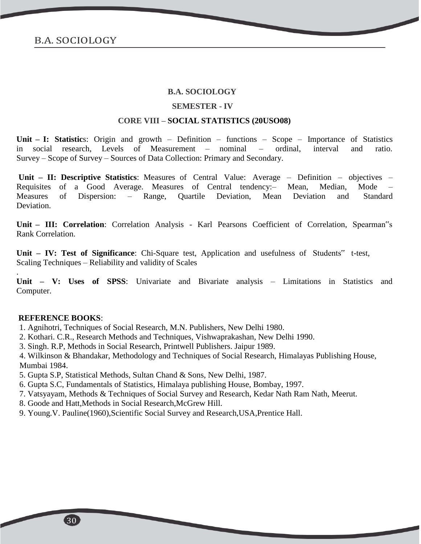#### **SEMESTER - IV**

#### **CORE VIII – SOCIAL STATISTICS (20USO08)**

**Unit – I: Statistic**s: Origin and growth – Definition – functions – Scope – Importance of Statistics in social research, Levels of Measurement – nominal – ordinal, interval and ratio. Survey – Scope of Survey – Sources of Data Collection: Primary and Secondary.

**Unit – II: Descriptive Statistics**: Measures of Central Value: Average – Definition – objectives – Requisites of a Good Average. Measures of Central tendency:– Mean, Median, Mode – Measures of Dispersion: – Range, Quartile Deviation, Mean Deviation and Standard Deviation.

**Unit – III: Correlation**: Correlation Analysis - Karl Pearsons Coefficient of Correlation, Spearman"s Rank Correlation.

**Unit – IV: Test of Significance**: Chi-Square test, Application and usefulness of Students" t-test, Scaling Techniques – Reliability and validity of Scales

**Unit – V: Uses of SPSS**: Univariate and Bivariate analysis – Limitations in Statistics and Computer.

#### **REFERENCE BOOKS**:

.

1. Agnihotri, Techniques of Social Research, M.N. Publishers, New Delhi 1980.

- 2. Kothari. C.R., Research Methods and Techniques, Vishwaprakashan, New Delhi 1990.
- 3. Singh. R.P, Methods in Social Research, Printwell Publishers. Jaipur 1989.

4. Wilkinson & Bhandakar, Methodology and Techniques of Social Research, Himalayas Publishing House, Mumbai 1984.

- 5. Gupta S.P, Statistical Methods, Sultan Chand & Sons, New Delhi, 1987.
- 6. Gupta S.C, Fundamentals of Statistics, Himalaya publishing House, Bombay, 1997.
- 7. Vatsyayam, Methods & Techniques of Social Survey and Research, Kedar Nath Ram Nath, Meerut.
- 8. Goode and Hatt,Methods in Social Research,McGrew Hill.
- 9. Young.V. Pauline(1960),Scientific Social Survey and Research,USA,Prentice Hall.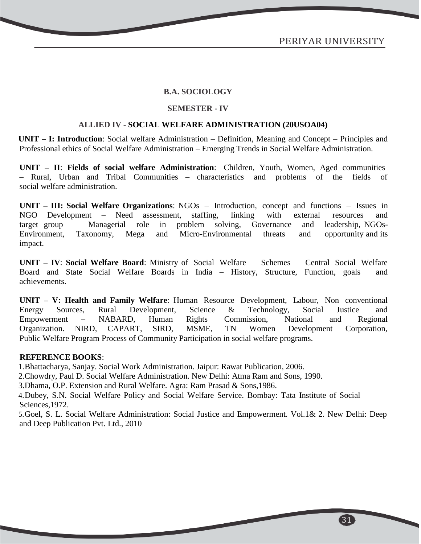#### **SEMESTER - IV**

#### **ALLIED IV - SOCIAL WELFARE ADMINISTRATION (20USOA04)**

**UNIT – I: Introduction**: Social welfare Administration – Definition, Meaning and Concept – Principles and Professional ethics of Social Welfare Administration – Emerging Trends in Social Welfare Administration.

**UNIT – II**: **Fields of social welfare Administration**: Children, Youth, Women, Aged communities – Rural, Urban and Tribal Communities – characteristics and problems of the fields of social welfare administration.

**UNIT – III: Social Welfare Organizations**: NGOs – Introduction, concept and functions – Issues in NGO Development – Need assessment, staffing, linking with external resources and target group – Managerial role in problem solving, Governance and leadership, NGOs-Environment, Taxonomy, Mega and Micro-Environmental threats and opportunity and its impact.

**UNIT – IV**: **Social Welfare Board**: Ministry of Social Welfare – Schemes – Central Social Welfare Board and State Social Welfare Boards in India – History, Structure, Function, goals and achievements.

**UNIT – V: Health and Family Welfare**: Human Resource Development, Labour, Non conventional Energy Sources, Rural Development, Science & Technology, Social Justice and Empowerment – NABARD, Human Rights Commission, National and Regional Organization. NIRD, CAPART, SIRD, MSME, TN Women Development Corporation, Public Welfare Program Process of Community Participation in social welfare programs.

#### **REFERENCE BOOKS**:

1.Bhattacharya, Sanjay. Social Work Administration. Jaipur: Rawat Publication, 2006.

2.Chowdry, Paul D. Social Welfare Administration. New Delhi: Atma Ram and Sons, 1990.

3.Dhama, O.P. Extension and Rural Welfare. Agra: Ram Prasad & Sons,1986.

4.Dubey, S.N. Social Welfare Policy and Social Welfare Service. Bombay: Tata Institute of Social Sciences,1972.

5.Goel, S. L. Social Welfare Administration: Social Justice and Empowerment. Vol.1& 2. New Delhi: Deep and Deep Publication Pvt. Ltd., 2010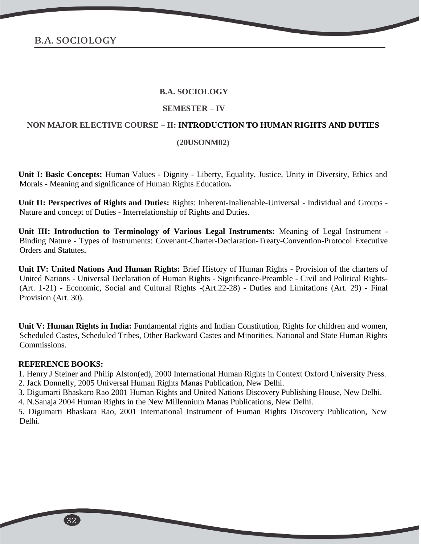#### **SEMESTER – IV**

#### **NON MAJOR ELECTIVE COURSE – II: INTRODUCTION TO HUMAN RIGHTS AND DUTIES**

#### **(20USONM02)**

**Unit I: Basic Concepts:** Human Values - Dignity - Liberty, Equality, Justice, Unity in Diversity, Ethics and Morals - Meaning and significance of Human Rights Education**.**

**Unit II: Perspectives of Rights and Duties:** Rights: Inherent-Inalienable-Universal - Individual and Groups - Nature and concept of Duties - Interrelationship of Rights and Duties.

**Unit III: Introduction to Terminology of Various Legal Instruments:** Meaning of Legal Instrument - Binding Nature - Types of Instruments: Covenant-Charter-Declaration-Treaty-Convention-Protocol Executive Orders and Statutes**.**

**Unit IV: United Nations And Human Rights:** Brief History of Human Rights - Provision of the charters of United Nations - Universal Declaration of Human Rights - Significance-Preamble - Civil and Political Rights- (Art. 1-21) - Economic, Social and Cultural Rights -(Art.22-28) - Duties and Limitations (Art. 29) - Final Provision (Art. 30).

Unit V: Human Rights in India: Fundamental rights and Indian Constitution, Rights for children and women, Scheduled Castes, Scheduled Tribes, Other Backward Castes and Minorities. National and State Human Rights Commissions.

#### **REFERENCE BOOKS:**

1. Henry J Steiner and Philip Alston(ed), 2000 International Human Rights in Context Oxford University Press. 2. Jack Donnelly, 2005 Universal Human Rights Manas Publication, New Delhi.

3. Digumarti Bhaskaro Rao 2001 Human Rights and United Nations Discovery Publishing House, New Delhi.

4. N.Sanaja 2004 Human Rights in the New Millennium Manas Publications, New Delhi.

5. Digumarti Bhaskara Rao, 2001 International Instrument of Human Rights Discovery Publication, New Delhi.